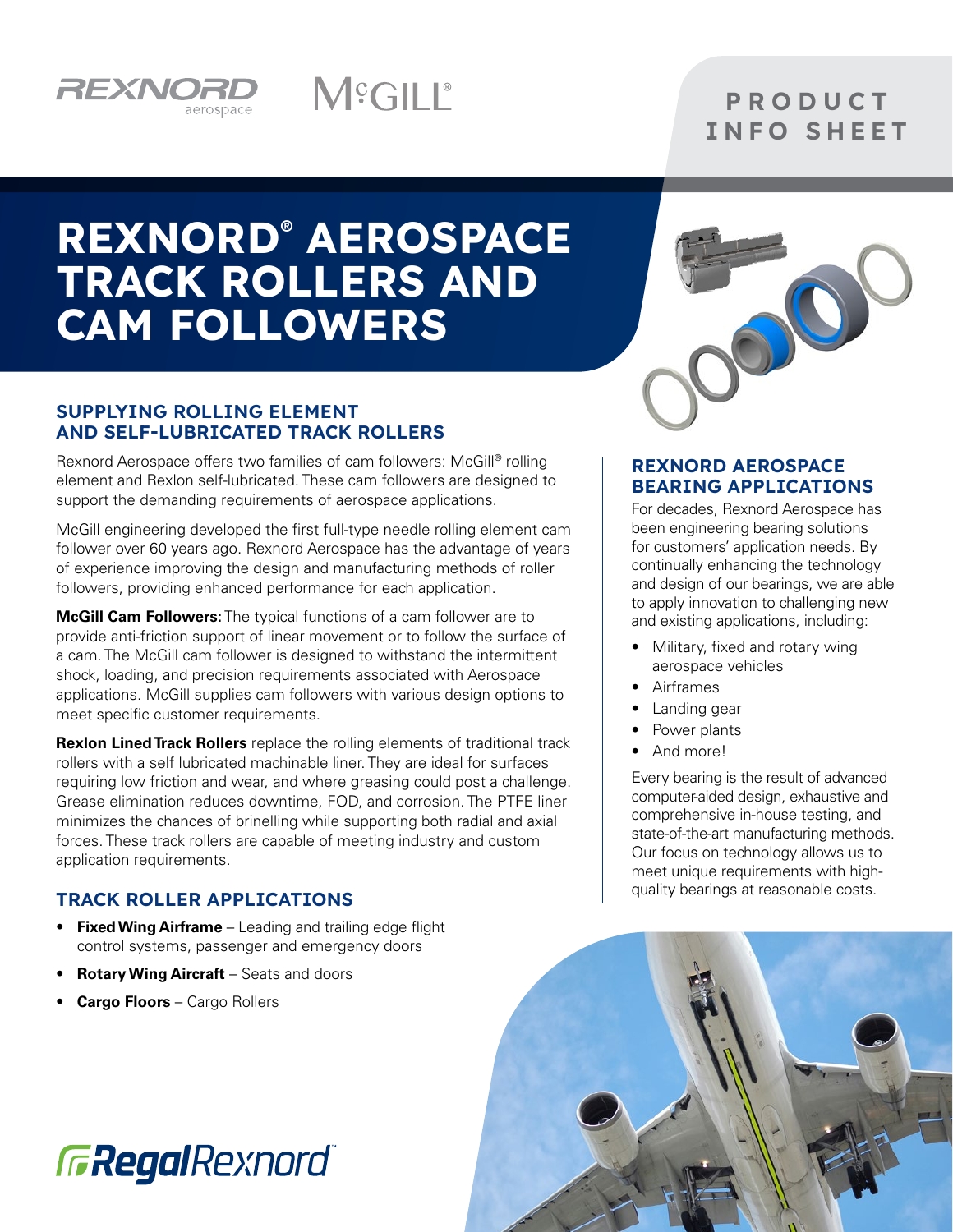

### **P R O D U C T** INFO SHEET

# REXNORD® AEROSPACE TRACK ROLLERS AND CAM FOLLOWERS

M<sup>e</sup>GILL®

#### SUPPLYING ROLLING ELEMENT AND SELF-LUBRICATED TRACK ROLLERS

Rexnord Aerospace offers two families of cam followers: McGill® rolling element and Rexlon self-lubricated. These cam followers are designed to support the demanding requirements of aerospace applications.

McGill engineering developed the first full-type needle rolling element cam follower over 60 years ago. Rexnord Aerospace has the advantage of years of experience improving the design and manufacturing methods of roller followers, providing enhanced performance for each application.

**McGill Cam Followers:** The typical functions of a cam follower are to provide anti-friction support of linear movement or to follow the surface of a cam. The McGill cam follower is designed to withstand the intermittent shock, loading, and precision requirements associated with Aerospace applications. McGill supplies cam followers with various design options to meet specific customer requirements.

**Rexlon Lined Track Rollers** replace the rolling elements of traditional track rollers with a self lubricated machinable liner. They are ideal for surfaces requiring low friction and wear, and where greasing could post a challenge. Grease elimination reduces downtime, FOD, and corrosion. The PTFE liner minimizes the chances of brinelling while supporting both radial and axial forces. These track rollers are capable of meeting industry and custom application requirements.

#### TRACK ROLLER APPLICATIONS

- **Fixed Wing Airframe** Leading and trailing edge flight control systems, passenger and emergency doors
- **Rotary Wing Aircraft** Seats and doors
- **Cargo Floors** Cargo Rollers



#### REXNORD AEROSPACE BEARING APPLICATIONS

For decades, Rexnord Aerospace has been engineering bearing solutions for customers' application needs. By continually enhancing the technology and design of our bearings, we are able to apply innovation to challenging new and existing applications, including:

- Military, fixed and rotary wing aerospace vehicles
- Airframes
- Landing gear
- Power plants
- And more!

Every bearing is the result of advanced computer-aided design, exhaustive and comprehensive in-house testing, and state-of-the-art manufacturing methods. Our focus on technology allows us to meet unique requirements with highquality bearings at reasonable costs.



**GRegalRexnord**